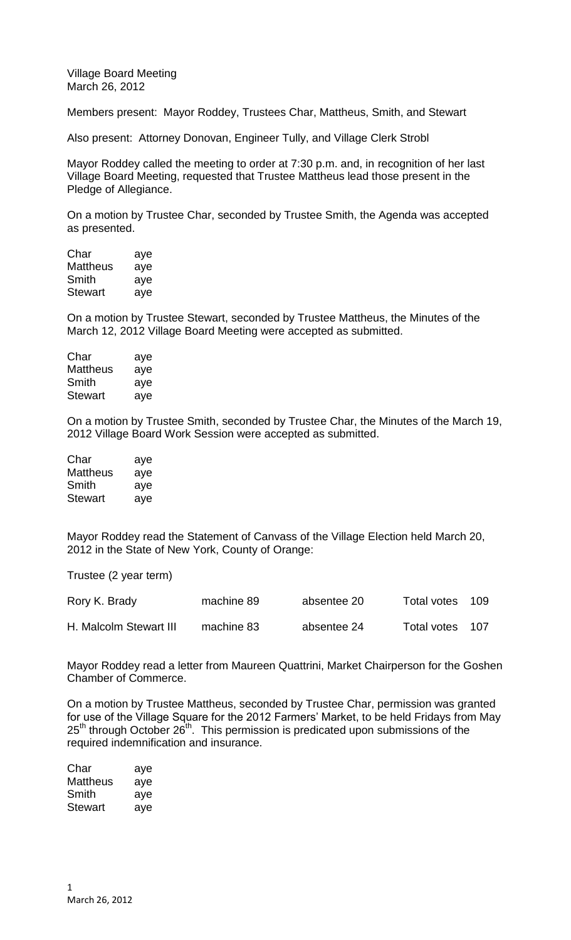Village Board Meeting March 26, 2012

Members present: Mayor Roddey, Trustees Char, Mattheus, Smith, and Stewart

Also present: Attorney Donovan, Engineer Tully, and Village Clerk Strobl

Mayor Roddey called the meeting to order at 7:30 p.m. and, in recognition of her last Village Board Meeting, requested that Trustee Mattheus lead those present in the Pledge of Allegiance.

On a motion by Trustee Char, seconded by Trustee Smith, the Agenda was accepted as presented.

| Char     | aye |
|----------|-----|
| Mattheus | aye |
| Smith    | aye |
| Stewart  | aye |

On a motion by Trustee Stewart, seconded by Trustee Mattheus, the Minutes of the March 12, 2012 Village Board Meeting were accepted as submitted.

| Char     | aye |
|----------|-----|
| Mattheus | aye |
| Smith    | aye |
| Stewart  | aye |

On a motion by Trustee Smith, seconded by Trustee Char, the Minutes of the March 19, 2012 Village Board Work Session were accepted as submitted.

| Char           | aye |
|----------------|-----|
| Mattheus       | aye |
| Smith          | aye |
| <b>Stewart</b> | aye |

Mayor Roddey read the Statement of Canvass of the Village Election held March 20, 2012 in the State of New York, County of Orange:

Trustee (2 year term)

| Rory K. Brady          | machine 89 | absentee 20 | Total votes | 109 |
|------------------------|------------|-------------|-------------|-----|
| H. Malcolm Stewart III | machine 83 | absentee 24 | Total votes | 107 |

Mayor Roddey read a letter from Maureen Quattrini, Market Chairperson for the Goshen Chamber of Commerce.

On a motion by Trustee Mattheus, seconded by Trustee Char, permission was granted for use of the Village Square for the 2012 Farmers' Market, to be held Fridays from May 25<sup>th</sup> through October 26<sup>th</sup>. This permission is predicated upon submissions of the required indemnification and insurance.

| Char     | aye |
|----------|-----|
| Mattheus | aye |
| Smith    | aye |
| Stewart  | aye |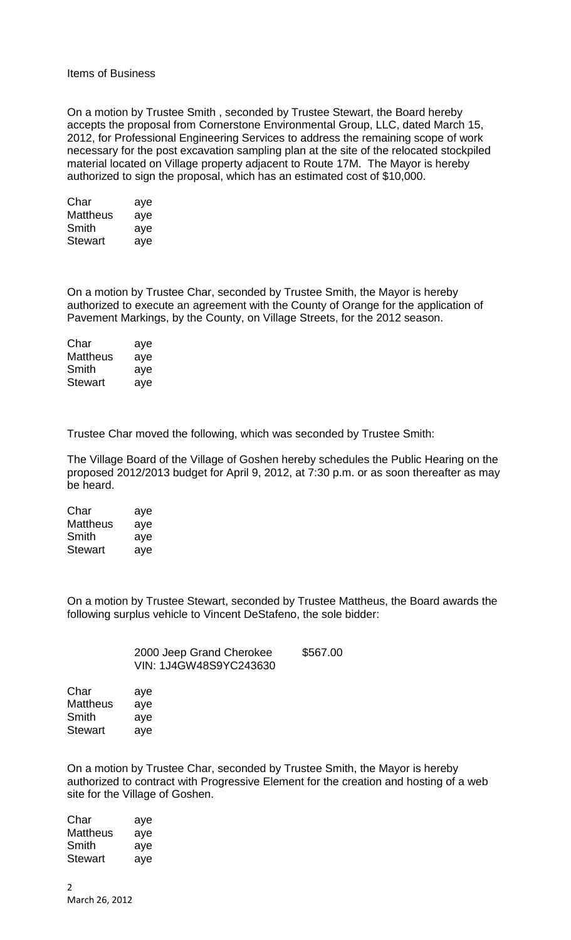## Items of Business

On a motion by Trustee Smith , seconded by Trustee Stewart, the Board hereby accepts the proposal from Cornerstone Environmental Group, LLC, dated March 15, 2012, for Professional Engineering Services to address the remaining scope of work necessary for the post excavation sampling plan at the site of the relocated stockpiled material located on Village property adjacent to Route 17M. The Mayor is hereby authorized to sign the proposal, which has an estimated cost of \$10,000.

| Char     | aye |
|----------|-----|
| Mattheus | aye |
| Smith    | aye |
| Stewart  | aye |

On a motion by Trustee Char, seconded by Trustee Smith, the Mayor is hereby authorized to execute an agreement with the County of Orange for the application of Pavement Markings, by the County, on Village Streets, for the 2012 season.

| Char            | aye |
|-----------------|-----|
| <b>Mattheus</b> | aye |
| Smith           | aye |
| <b>Stewart</b>  | aye |

Trustee Char moved the following, which was seconded by Trustee Smith:

The Village Board of the Village of Goshen hereby schedules the Public Hearing on the proposed 2012/2013 budget for April 9, 2012, at 7:30 p.m. or as soon thereafter as may be heard.

| Char     | aye |
|----------|-----|
| Mattheus | aye |
| Smith    | aye |
| Stewart  | aye |

On a motion by Trustee Stewart, seconded by Trustee Mattheus, the Board awards the following surplus vehicle to Vincent DeStafeno, the sole bidder:

| 2000 Jeep Grand Cherokee | \$567.00 |
|--------------------------|----------|
| VIN: 1J4GW48S9YC243630   |          |

Char aye Mattheus aye Smith aye Stewart ave

On a motion by Trustee Char, seconded by Trustee Smith, the Mayor is hereby authorized to contract with Progressive Element for the creation and hosting of a web site for the Village of Goshen.

| aye |
|-----|
| aye |
| aye |
| aye |
|     |